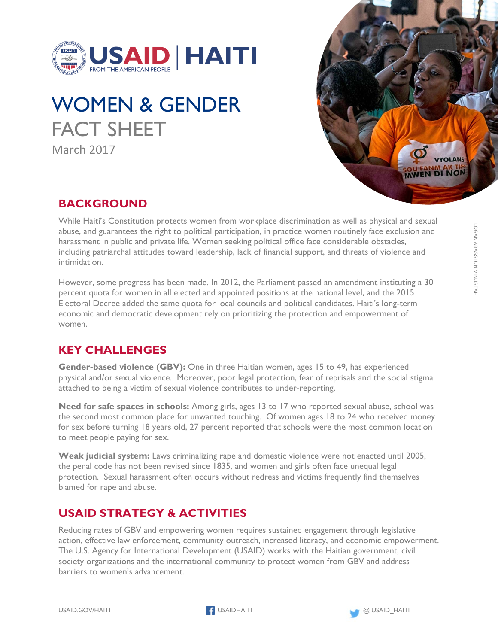

# WOMEN & GENDER FACT SHEET March 2017



## **BACKGROUND**

While Haiti's Constitution protects women from workplace discrimination as well as physical and sexual abuse, and guarantees the right to political participation, in practice women routinely face exclusion and harassment in public and private life. Women seeking political office face considerable obstacles, including patriarchal attitudes toward leadership, lack of financial support, and threats of violence and intimidation.

However, some progress has been made. In 2012, the Parliament passed an amendment instituting a 30 percent quota for women in all elected and appointed positions at the national level, and the 2015 Electoral Decree added the same quota for local councils and political candidates. Haiti's long-term economic and democratic development rely on prioritizing the protection and empowerment of women.

## **KEY CHALLENGES**

**Gender-based violence (GBV):** One in three Haitian women, ages 15 to 49, has experienced physical and/or sexual violence. Moreover, poor legal protection, fear of reprisals and the social stigma attached to being a victim of sexual violence contributes to under-reporting.

**Need for safe spaces in schools:** Among girls, ages 13 to 17 who reported sexual abuse, school was the second most common place for unwanted touching. Of women ages 18 to 24 who received money for sex before turning 18 years old, 27 percent reported that schools were the most common location to meet people paying for sex.

**Weak judicial system:** Laws criminalizing rape and domestic violence were not enacted until 2005, the penal code has not been revised since 1835, and women and girls often face unequal legal protection. Sexual harassment often occurs without redress and victims frequently find themselves blamed for rape and abuse.

## **USAID STRATEGY & ACTIVITIES**

Reducing rates of GBV and empowering women requires sustained engagement through legislative action, effective law enforcement, community outreach, increased literacy, and economic empowerment. The U.S. Agency for International Development (USAID) works with the Haitian government, civil society organizations and the international community to protect women from GBV and address barriers to women's advancement.